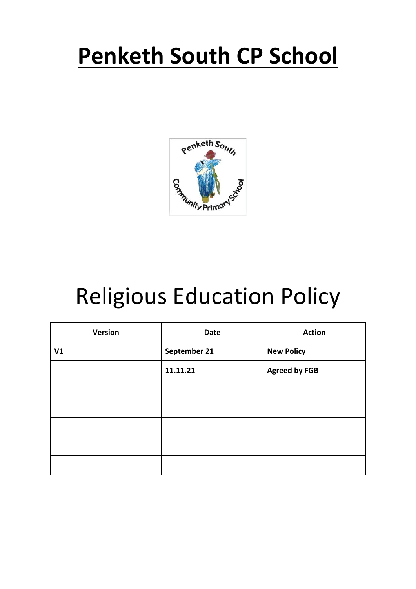# **Penketh South CP School**



# Religious Education Policy

| <b>Version</b> | <b>Date</b>  | <b>Action</b>        |
|----------------|--------------|----------------------|
| V1             | September 21 | <b>New Policy</b>    |
|                | 11.11.21     | <b>Agreed by FGB</b> |
|                |              |                      |
|                |              |                      |
|                |              |                      |
|                |              |                      |
|                |              |                      |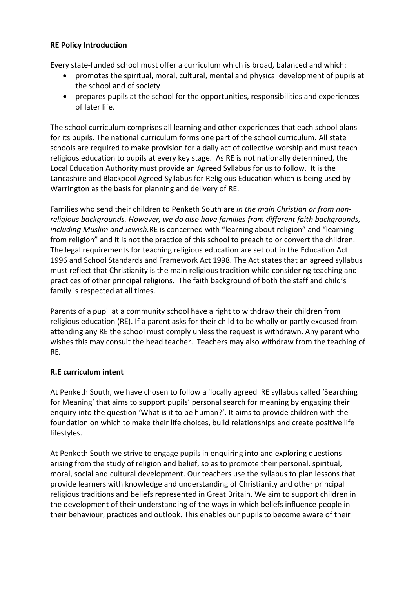#### **RE Policy Introduction**

Every state-funded school must offer a curriculum which is broad, balanced and which:

- promotes the spiritual, moral, cultural, mental and physical development of pupils at the school and of society
- prepares pupils at the school for the opportunities, responsibilities and experiences of later life.

The school curriculum comprises all learning and other experiences that each school plans for its pupils. The national curriculum forms one part of the school curriculum. All state schools are required to make provision for a daily act of collective worship and must teach religious education to pupils at every key stage. As RE is not nationally determined, the Local Education Authority must provide an Agreed Syllabus for us to follow. It is the Lancashire and Blackpool Agreed Syllabus for Religious Education which is being used by Warrington as the basis for planning and delivery of RE.

Families who send their children to Penketh South are *in the main Christian or from nonreligious backgrounds. However, we do also have families from different faith backgrounds, including Muslim and Jewish.*RE is concerned with "learning about religion" and "learning from religion" and it is not the practice of this school to preach to or convert the children. The legal requirements for teaching religious education are set out in the Education Act 1996 and School Standards and Framework Act 1998. The Act states that an agreed syllabus must reflect that Christianity is the main religious tradition while considering teaching and practices of other principal religions. The faith background of both the staff and child's family is respected at all times.

Parents of a pupil at a community school have a right to withdraw their children from religious education (RE). If a parent asks for their child to be wholly or partly excused from attending any RE the school must comply unless the request is withdrawn. Any parent who wishes this may consult the head teacher. Teachers may also withdraw from the teaching of RE*.*

#### **R.E curriculum intent**

At Penketh South, we have chosen to follow a 'locally agreed' RE syllabus called 'Searching for Meaning' that aims to support pupils' personal search for meaning by engaging their enquiry into the question 'What is it to be human?'. It aims to provide children with the foundation on which to make their life choices, build relationships and create positive life lifestyles.

At Penketh South we strive to engage pupils in enquiring into and exploring questions arising from the study of religion and belief, so as to promote their personal, spiritual, moral, social and cultural development. Our teachers use the syllabus to plan lessons that provide learners with knowledge and understanding of Christianity and other principal religious traditions and beliefs represented in Great Britain. We aim to support children in the development of their understanding of the ways in which beliefs influence people in their behaviour, practices and outlook. This enables our pupils to become aware of their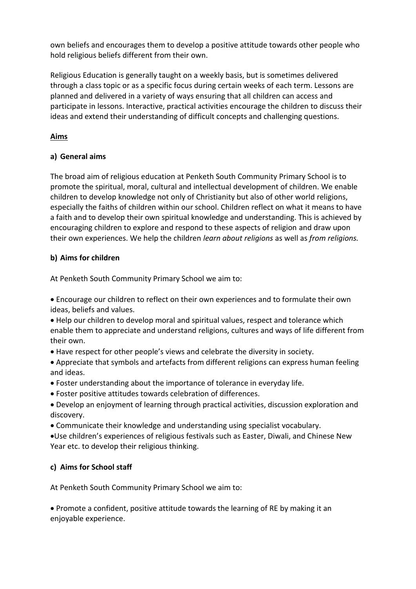own beliefs and encourages them to develop a positive attitude towards other people who hold religious beliefs different from their own.

Religious Education is generally taught on a weekly basis, but is sometimes delivered through a class topic or as a specific focus during certain weeks of each term. Lessons are planned and delivered in a variety of ways ensuring that all children can access and participate in lessons. Interactive, practical activities encourage the children to discuss their ideas and extend their understanding of difficult concepts and challenging questions.

# **Aims**

## **a) General aims**

The broad aim of religious education at Penketh South Community Primary School is to promote the spiritual, moral, cultural and intellectual development of children. We enable children to develop knowledge not only of Christianity but also of other world religions, especially the faiths of children within our school. Children reflect on what it means to have a faith and to develop their own spiritual knowledge and understanding. This is achieved by encouraging children to explore and respond to these aspects of religion and draw upon their own experiences. We help the children *learn about religions* as well as *from religions.*

## **b) Aims for children**

At Penketh South Community Primary School we aim to:

• Encourage our children to reflect on their own experiences and to formulate their own ideas, beliefs and values.

- Help our children to develop moral and spiritual values, respect and tolerance which enable them to appreciate and understand religions, cultures and ways of life different from their own.
- Have respect for other people's views and celebrate the diversity in society.
- Appreciate that symbols and artefacts from different religions can express human feeling and ideas.
- Foster understanding about the importance of tolerance in everyday life.
- Foster positive attitudes towards celebration of differences.
- Develop an enjoyment of learning through practical activities, discussion exploration and discovery.
- Communicate their knowledge and understanding using specialist vocabulary.

•Use children's experiences of religious festivals such as Easter, Diwali, and Chinese New Year etc. to develop their religious thinking.

# **c) Aims for School staff**

At Penketh South Community Primary School we aim to:

• Promote a confident, positive attitude towards the learning of RE by making it an enjoyable experience.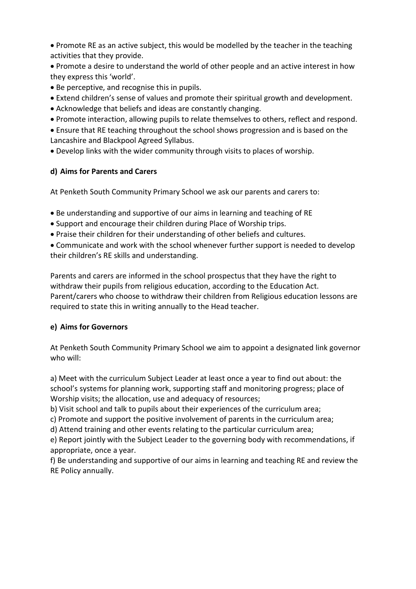• Promote RE as an active subject, this would be modelled by the teacher in the teaching activities that they provide.

• Promote a desire to understand the world of other people and an active interest in how they express this 'world'.

- Be perceptive, and recognise this in pupils.
- Extend children's sense of values and promote their spiritual growth and development.
- Acknowledge that beliefs and ideas are constantly changing.
- Promote interaction, allowing pupils to relate themselves to others, reflect and respond.

• Ensure that RE teaching throughout the school shows progression and is based on the Lancashire and Blackpool Agreed Syllabus.

• Develop links with the wider community through visits to places of worship.

## **d) Aims for Parents and Carers**

At Penketh South Community Primary School we ask our parents and carers to:

- Be understanding and supportive of our aims in learning and teaching of RE
- Support and encourage their children during Place of Worship trips.
- Praise their children for their understanding of other beliefs and cultures.

• Communicate and work with the school whenever further support is needed to develop their children's RE skills and understanding.

Parents and carers are informed in the school prospectus that they have the right to withdraw their pupils from religious education, according to the Education Act. Parent/carers who choose to withdraw their children from Religious education lessons are required to state this in writing annually to the Head teacher.

#### **e) Aims for Governors**

At Penketh South Community Primary School we aim to appoint a designated link governor who will:

a) Meet with the curriculum Subject Leader at least once a year to find out about: the school's systems for planning work, supporting staff and monitoring progress; place of Worship visits; the allocation, use and adequacy of resources;

b) Visit school and talk to pupils about their experiences of the curriculum area;

c) Promote and support the positive involvement of parents in the curriculum area;

d) Attend training and other events relating to the particular curriculum area;

e) Report jointly with the Subject Leader to the governing body with recommendations, if appropriate, once a year.

f) Be understanding and supportive of our aims in learning and teaching RE and review the RE Policy annually.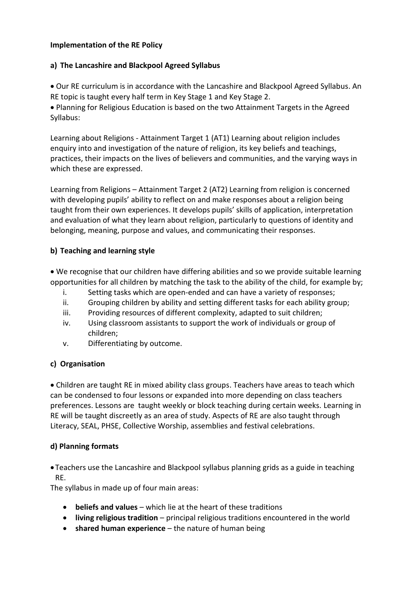#### **Implementation of the RE Policy**

#### **a) The Lancashire and Blackpool Agreed Syllabus**

• Our RE curriculum is in accordance with the Lancashire and Blackpool Agreed Syllabus. An RE topic is taught every half term in Key Stage 1 and Key Stage 2.

• Planning for Religious Education is based on the two Attainment Targets in the Agreed Syllabus:

Learning about Religions - Attainment Target 1 (AT1) Learning about religion includes enquiry into and investigation of the nature of religion, its key beliefs and teachings, practices, their impacts on the lives of believers and communities, and the varying ways in which these are expressed.

Learning from Religions – Attainment Target 2 (AT2) Learning from religion is concerned with developing pupils' ability to reflect on and make responses about a religion being taught from their own experiences. It develops pupils' skills of application, interpretation and evaluation of what they learn about religion, particularly to questions of identity and belonging, meaning, purpose and values, and communicating their responses.

#### **b) Teaching and learning style**

• We recognise that our children have differing abilities and so we provide suitable learning opportunities for all children by matching the task to the ability of the child, for example by;

- i. Setting tasks which are open-ended and can have a variety of responses;
- ii. Grouping children by ability and setting different tasks for each ability group;
- iii. Providing resources of different complexity, adapted to suit children;
- iv. Using classroom assistants to support the work of individuals or group of children;
- v. Differentiating by outcome.

#### **c) Organisation**

• Children are taught RE in mixed ability class groups. Teachers have areas to teach which can be condensed to four lessons or expanded into more depending on class teachers preferences. Lessons are taught weekly or block teaching during certain weeks. Learning in RE will be taught discreetly as an area of study. Aspects of RE are also taught through Literacy, SEAL, PHSE, Collective Worship, assemblies and festival celebrations.

#### **d) Planning formats**

• Teachers use the Lancashire and Blackpool syllabus planning grids as a guide in teaching RE.

The syllabus in made up of four main areas:

- **beliefs and values**  which lie at the heart of these traditions
- **living religious tradition**  principal religious traditions encountered in the world
- **shared human experience** the nature of human being